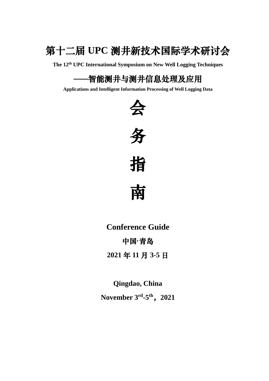

**The 12 th UPC International Symposium on New Well Logging Techniques**

# ——智能测井与测井信息处理及应用

**Applications and Intelligent Information Processing of Well Logging Data**







南

**Conference Guide** 中国**·**青岛

**2021** 年 **11** 月 **3-5** 日

**Qingdao, China November 3 rd -5 th** ,**2021**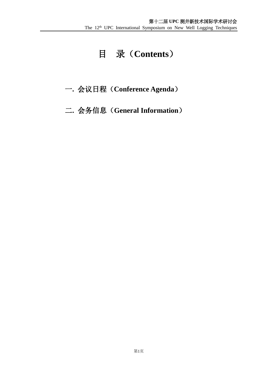# 目录(**Contents**)

## 一**.** 会议日程(**Conference Agenda**)

## 二**.** 会务信息(**General Information**)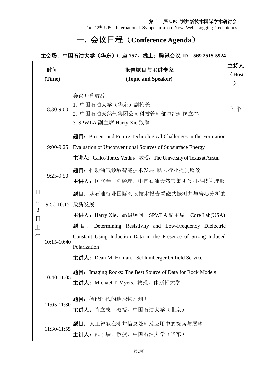The 12<sup>th</sup> UPC International Symposium on New Well Logging Techniques

# 一**.** 会议日程(**Conference Agenda**)

### 主会场:中国石油大学(华东)**C** 座 **757**,线上:腾讯会议 **ID**:**569 2515 5924**

|                   | 时间<br>(Time)    | 报告题目与主讲专家<br>(Topic and Speaker)                                                                                                                                                                            | 主持人<br>(Host<br>$\mathcal{Y}$ |
|-------------------|-----------------|-------------------------------------------------------------------------------------------------------------------------------------------------------------------------------------------------------------|-------------------------------|
|                   | 8:30-9:00       | 会议开幕致辞<br>1. 中国石油大学(华东)副校长<br>2. 中国石油天然气集团公司科技管理部总经理匡立春<br>3. SPWLA 副主席 Harry Xie 致辞                                                                                                                        | 刘华                            |
|                   |                 | 题目: Present and Future Technological Challenges in the Formation<br>9:00-9:25 Evaluation of Unconventional Sources of Subsurface Energy<br>主讲人: Carlos Torres-Verdin, 教授, The University of Texas at Austin |                               |
|                   | $9:25-9:50$     | 题目: 推动油气领域智能技术发展 助力行业提质增效<br>主讲人: 匡立春, 总经理, 中国石油天然气集团公司科技管理部                                                                                                                                                |                               |
| 11<br>月<br>3<br>日 | 9:50-10:15 最新发展 | 题目: 从石油行业国际会议技术报告看磁共振测井与岩心分析的<br>主讲人: Harry Xie,高级顾问,SPWLA 副主席,Core Lab(USA)                                                                                                                                |                               |
| 上<br>午            | $10:15-10:40$   | 题目: Determining Resistivity and Low-Frequency Dielectric<br>Constant Using Induction Data in the Presence of Strong Induced<br>Polarization<br>主讲人: Dean M. Homan, Schlumberger Oilfield Service            |                               |
|                   | 10:40-11:05     | 题目: Imaging Rocks: The Best Source of Data for Rock Models<br>主讲人: Michael T. Myers, 教授, 休斯顿大学                                                                                                              |                               |
|                   | 11:05-11:30     | 题目: 智能时代的地球物理测井<br>主讲人: 肖立志, 教授, 中国石油大学(北京)                                                                                                                                                                 |                               |
|                   | 11:30-11:55     | 题目: 人工智能在测井信息处理及应用中的探索与展望<br>主讲人: 邵才瑞, 教授, 中国石油大学 (华东)                                                                                                                                                      |                               |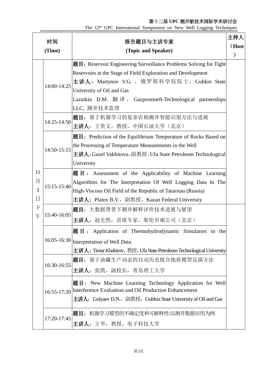| 时间     |             | 主持人<br>报告题目与主讲专家                                                      |               |
|--------|-------------|-----------------------------------------------------------------------|---------------|
|        |             |                                                                       | (Host         |
| (Time) |             | (Topic and Speaker)                                                   | $\mathcal{F}$ |
|        |             | 题目: Reservoir Engineering Surveillance Problems Solving for Tight     |               |
|        |             | Reservoirs at the Stage of Field Exploration and Development          |               |
|        | 14:00-14:25 | 主讲人: Martynov V.G , 俄罗斯科学院院士, Gubkin State                            |               |
|        |             | University of Oil and Gas                                             |               |
|        |             | Lazutkin D.M. 翻译, Gazpromneft-Technological partnerships              |               |
|        |             | LLC, 测井技术监理                                                           |               |
|        | 14:25-14:50 | 题目: 基于机器学习的复杂岩相测井智能识别方法与进展                                            |               |
|        |             | 主讲人:王贵文,教授,中国石油大学(北京)                                                 |               |
|        |             | 题目: Prediction of the Equilibrium Temperature of Rocks Based on       |               |
|        | 14:50-15:15 | the Processing of Temperature Measurements in the Well                |               |
|        |             | 主讲人: Guzel Vakhitova, 副教授, Ufa State Petroleum Technological          |               |
|        |             | University                                                            |               |
| 11     |             | 题目: Assessment of the Applicability of Machine Learning               |               |
| 月      |             | Algorithms for The Interpretation Of Well Logging Data In The         |               |
| 3      | 15:15-15:40 | High-Viscous Oil Field of the Republic of Tatarstan (Russia)          |               |
| 日      |             | 主讲人: Platov B.V., 副教授, Kazan Federal University                       |               |
| 下      | 15:40-16:05 | 题目: 大数据背景下测井解释评价技术进展与展望                                               |               |
| 午      |             | 主讲人: 赵先然, 首席专家, 斯伦贝谢公司(北京)                                            |               |
|        |             | 题目: Application of Thermohydrodynamic Simulators in the               |               |
|        |             | 16:05-16:30 Interpretation of Well Data                               |               |
|        |             | 主讲人: Timur Khabirov, 教授, Ufa State Petroleum Technological University |               |
|        |             | 题目: 基于油藏生产动态的自动历史拟合地质模型反演方法                                           |               |
|        | 16:30-16:55 | 主讲人: 张凯, 副校长, 青岛理工大学                                                  |               |
|        |             |                                                                       |               |
|        |             | 题目: New Machine Learning Technology Application for Well              |               |
|        |             | 16:55-17:20 Interference Evaluation and Oil Production Enhancement    |               |
|        |             | 主讲人: Gulyaev D.N., 副教授, Gubkin State University of Oil and Gas        |               |
|        |             | 题目: 机器学习模型的不确定度和可解释性:以测井数据应用为例                                        |               |
|        | 17:20-17:45 | 主讲人: 王华, 教授, 电子科技大学                                                   |               |

The 12<sup>th</sup> UPC International Symposium on New Well Logging Techniques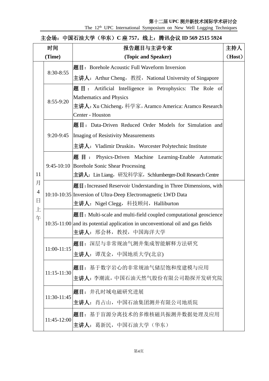The 12<sup>th</sup> UPC International Symposium on New Well Logging Techniques

#### 主会场:中国石油大学(华东)**C** 座 **757**,线上:腾讯会议 **ID 569 2515 5924**

| 时间             |                               | 报告题目与主讲专家                                                                        |        |
|----------------|-------------------------------|----------------------------------------------------------------------------------|--------|
|                | (Time)<br>(Topic and Speaker) |                                                                                  | (Host) |
|                | 8:30-8:55                     | 题目: Borehole Acoustic Full Waveform Inversion                                    |        |
|                |                               | 主讲人: Arthur Cheng, 教授, National University of Singapore                          |        |
|                | 8:55-9:20                     | 题目: Artificial Intelligence in Petrophysics: The Role of                         |        |
|                |                               | Mathematics and Physics                                                          |        |
|                |                               | 主讲人: Xu Chicheng, 科学家, Aramco America: Aramco Research                           |        |
|                |                               | Center - Houston                                                                 |        |
|                |                               | 题目: Data-Driven Reduced Order Models for Simulation and                          |        |
|                |                               | 9:20-9:45   Imaging of Resistivity Measurements                                  |        |
|                |                               | 主讲人: Vladimir Druskin, Worcester Polytechnic Institute                           |        |
|                |                               | 题目: Physics-Driven Machine Learning-Enable Automatic                             |        |
|                |                               | 9:45-10:10 Borehole Sonic Shear Processing                                       |        |
| 11             |                               | 主讲人: Lin Liang, 研发科学家, Schlumberger-Doll Research Centre                         |        |
| 月              |                               | 题目: Increased Reservoir Understanding in Three Dimensions, with                  |        |
| $\overline{4}$ |                               | 10:10-10:35 Inversion of Ultra-Deep Electromagnetic LWD Data                     |        |
| 日              |                               | 主讲人: Nigel Clegg,科技顾问,Halliburton                                                |        |
| 上<br>午         |                               | 题目: Multi-scale and multi-field coupled computational geoscience                 |        |
|                |                               | $10:35-11:00$ and its potential application in unconventional oil and gas fields |        |
|                |                               | 主讲人: 邢会林, 教授, 中国海洋大学                                                             |        |
|                |                               | 题目: 深层与非常规油气测井集成智能解释方法研究                                                         |        |
|                | $11:00-11:15$                 | 主讲人: 谭茂金,中国地质大学(北京)                                                              |        |
|                |                               | 题目: 基于数字岩心的非常规油气储层饱和度建模与应用                                                       |        |
|                | $11:15-11:30$                 |                                                                                  |        |
|                |                               | 主讲人: 李潮流, 中国石油天然气股份有限公司勘探开发研究院                                                   |        |
|                | 11:30-11:45                   | 题目: 井孔时域电磁研究进展                                                                   |        |
|                |                               | 主讲人: 肖占山, 中国石油集团测井有限公司地质院                                                        |        |
|                |                               | 题目: 基于盲源分离技术的多维核磁共振测井数据处理及应用                                                     |        |
|                | 11:45-12:00                   | <b>主讲人:</b> 葛新民,中国石油大学(华东)                                                       |        |
|                |                               |                                                                                  |        |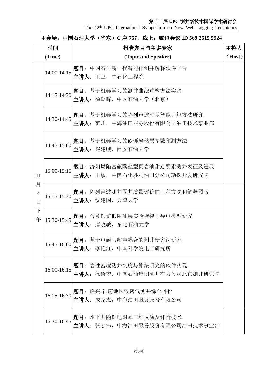The 12<sup>th</sup> UPC International Symposium on New Well Logging Techniques

| 时间                       |               | 报告题目与主讲专家                                                 | 主持人    |
|--------------------------|---------------|-----------------------------------------------------------|--------|
| (Time)                   |               | (Topic and Speaker)                                       | (Host) |
|                          | 14:00-14:15   | 题目: 中国石化新一代智能化测井解释软件平台<br>主讲人:王卫,中石化工程院                   |        |
|                          | $14:15-14:30$ | 题目: 基于机器学习的测井曲线重构方法实验<br>主讲人: 徐朝晖, 中国石油大学(北京)             |        |
|                          | 14:30-14:45   | 题目: 基于机器学习的阵列声波时差智能计算方法研究<br> 主讲人: 范川,中海油田服务股份有限公司油田技术事业部 |        |
|                          | 14:45-15:00   | 题目: 基于机器学习的砂砾岩储层参数预测方法<br>主讲人: 赵建鹏, 西安石油大学                |        |
| 11<br>月                  | $15:00-15:15$ | 题目: 济阳坳陷富碳酸盐型页岩油甜点要素测井表征及进展<br> 主讲人:王敏,中国石化胜利油田分公司勘探开发研究院 |        |
| $\overline{4}$<br>$\Box$ | $15:15-15:30$ | 题目: 阵列声波测井固井质量评价的三种方法和解释图版<br>主讲人: 沈建国, 天津大学              |        |
| 下<br>午                   | 15:30-15:45   | 题目: 含黄铁矿低阻油层实验规律与导电模型研究<br>主讲人: 唐晓敏,东北石油大学                |        |
|                          | 15:45-16:00   | 题目: 基于电磁与超声耦合的测井新方法研究<br>主讲人: 李艳红, 中国科学院电工研究所             |        |
|                          | 16:00-16:15   | 题目: 岩性密度测井刻度与算法研究的软件实现<br> 主讲人:徐绘宏,中国石油集团测井有限公司北京测井研究院    |        |
|                          | 16:15-16:30   | 题目: 临兴-神府地区致密气测井综合评价<br>主讲人:成家杰,中海油田服务股份有限公司              |        |
|                          | 16:30-16:45   | 题目: 水平井随钻电阻率三维反演及评价技术<br>主讲人: 张宏伟,中海油田服务股份有限公司油田技术事业部     |        |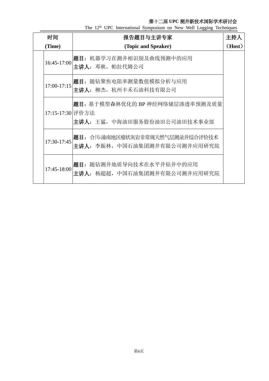| 时间     |                  | 报告题目与主讲专家                                                       | 主持人    |
|--------|------------------|-----------------------------------------------------------------|--------|
| (Time) |                  | (Topic and Speaker)                                             | (Host) |
|        | 16:45-17:00      | 题目: 机器学习在测井相识别及曲线预测中的应用<br>主讲人:邓秋,帕拉代姆公司                        |        |
|        | $17:00-17:15$    | 题目: 随钻聚焦电阻率测量数值模拟分析与应用<br>主讲人:柳杰,杭州丰禾石油科技有限公司                   |        |
|        | 17:15-17:30 评价方法 | 题目: 基于模型森林优化的 BP 神经网络储层渗透率预测及质量<br>主讲人: 王猛, 中海油田服务股份油田公司油田技术事业部 |        |
|        | 17:30-17:45      | 题目: 合川-潼南地区瘤状灰岩非常规天然气层测录井综合评价技术<br>主讲人:李振林,中国石油集团测井有限公司测井应用研究院  |        |
|        | 17:45-18:00      | 题目: 随钻测井地质导向技术在水平井钻井中的应用<br>主讲人: 杨超超,中国石油集团测井有限公司测井应用研究院        |        |

The 12<sup>th</sup> UPC International Symposium on New Well Logging Techniques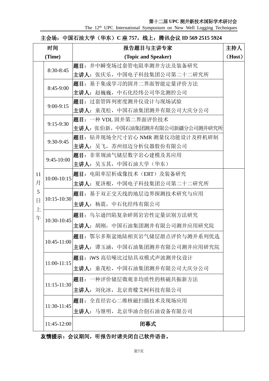The 12<sup>th</sup> UPC International Symposium on New Well Logging Techniques

| 主会场: 中国石油大学 (华东) C 座 757, 线上: 腾讯会议 ID 569 2515 5924 |  |  |
|-----------------------------------------------------|--|--|
|-----------------------------------------------------|--|--|

| 时间          |                 | 报告题目与主讲专家                        | 主持人    |
|-------------|-----------------|----------------------------------|--------|
| (Time)      |                 | (Topic and Speaker)              | (Host) |
|             | 8:30-8:45       | 题目: 井中瞬变场过套管电阻率测井方法及装备研究         |        |
|             |                 | 主讲人:张庆乐,中国电子科技集团公司第二十二研究所        |        |
|             | 8:45-9:00       | 题目: 基于集成学习的固井二界面智能定量评价方法         |        |
|             |                 | 主讲人:赵巍巍,中石化经纬公司华北测控公司            |        |
|             | $9:00-9:15$     | 题目: 过套管阵列密度测井仪设计与现场试验            |        |
|             |                 | 主讲人:童茂松,中国石油集团测井有限公司大庆分公司        |        |
|             | $9:15-9:30$     | 题目: 一种 VDL 固井第二界面评价技术            |        |
|             |                 | 主讲人: 张伯新, 中国石油集团测井有限公司新疆分公司测井研究所 |        |
|             | 9:30-9:45       | 题目: 钻井现场全尺寸岩心 NMR 测量仪功能设计及样机研制   |        |
|             |                 | 主讲人: 吴飞, 苏州纽迈分析仪器股份有限公司          |        |
|             | 9:45-10:00      | 题目: 非常规油气储层数字岩心建模及其应用            |        |
|             |                 | 主讲人:吴玉其,中国石油大学(华东)               |        |
| 11          | 10:00-10:15     | 题目: 电阻率层析成像技术(ERT)及装备研究          |        |
| 月           |                 | 主讲人: 夏济根,中国电子科技集团公司第二十二研究所       |        |
| 5           | 10:15-10:30     | 题目: 基于双正交天线的地层边界探测技术研究与应用        |        |
| $\Box$<br>上 |                 | 主讲人: 杨震, 中石化经纬有限公司               |        |
| 午           | 10:30-10:45     | 题目: 乌尔逊凹陷复杂碎屑岩岩性定量识别方法研究         |        |
|             |                 | 主讲人: 胡刚, 中国石油集团测井有限公司测井应用研究院     |        |
|             |                 | 题目: 鄂尔多斯盆地陆相页岩气储层甜点评价与测井系列优选     |        |
|             | 10:45-11:00     | 主讲人: 谭玉涵, 中国石油集团测井有限公司测井应用研究院    |        |
|             | $11:00-11:15$   | 题目: iWS 高信噪比过钻具双模式声波测井仪设计        |        |
|             |                 | 主讲人: 童茂松, 中国石油集团测井有限公司大庆分公司      |        |
|             |                 | 题目: 一种评价储层微观非均质性的核磁共振新方法         |        |
|             | $11:15 - 11:30$ | 主讲人: 刘化冰, 北京青檬艾柯科技有限公司           |        |
|             | 11:30-11:45     | 题目: 全直径岩心二维核磁扫描技术及现场应用           |        |
|             |                 | 主讲人: 马继明, 北京华油合创石油设备有限公司         |        |
|             | 11:45-12:00     | 闭幕式                              |        |

友情提示:会议期间,听报告时请关闭自己软件语音。